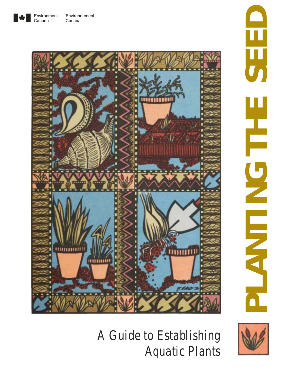



# **PLANTING THE SEED** 5, لدحك E



*A Guide to Establishing Aquatic Plants*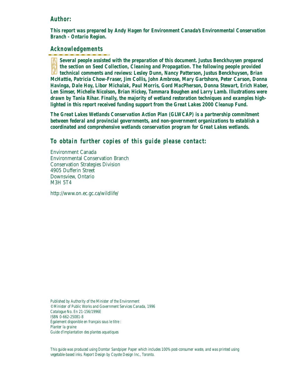## **Author:**

*This report was prepared by Andy Hagen for Environment Canada's Environmental Conservation Branch - Ontario Region.*

## **Acknowledgements**

*Several people assisted with the preparation of this document. Justus Benckhuysen prepared the section on Seed Collection, Cleaning and Propagation. The following people provided technical comments and reviews: Lesley Dunn, Nancy Patterson, Justus Benckhuysen, Brian McHattie, Patricia Chow-Fraser, Jim Collis, John Ambrose, Mary Gartshore, Peter Carson, Donna Havinga, Dale Hoy, Libor Michalak, Paul Morris, Gord MacPherson, Donna Stewart, Erich Haber, Len Simser, Michelle Nicolson, Brian Hickey, Tammara Boughen and Larry Lamb. Illustrations were drawn by Tania Rihar. Finally, the majority of wetland restoration techniques and examples highlighted in this report received funding support from the Great Lakes 2000 Cleanup Fund.*

*The Great Lakes Wetlands Conservation Action Plan (GLWCAP) is a partnership commitment between federal and provincial governments, and non-government organizations to establish a coordinated and comprehensive wetlands conservation program for Great Lakes wetlands.*

# **To obtain further copies of this guide please contact:**

Environment Canada Environmental Conservation Branch Conservation Strategies Division 4905 Dufferin Street Downsview, Ontario M3H 5T4

http://www.on.ec.gc.ca/wildlife/

*Published by Authority of the Minister of the Environment ©Minister of Public Works and Government Services Canada, 1996 Catalogue No. En 21-156/1996E ISBN 0-662-25081-8 Également disponible en français sous le titre : Planter la graine Guide d'implantation des plantes aquatiques*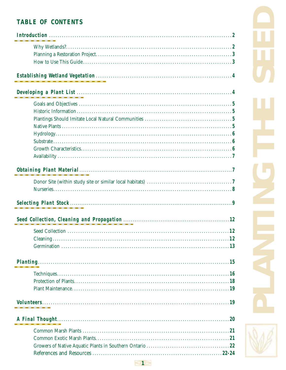# **TABLE OF CONTENTS**

| <b>Planting.</b> |  |
|------------------|--|
|                  |  |
|                  |  |
|                  |  |
|                  |  |
|                  |  |
|                  |  |
|                  |  |
|                  |  |
|                  |  |
|                  |  |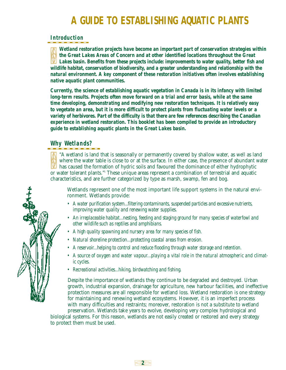# **A GUIDE TO ESTABLISHING AQUATIC PLANTS**

# **Introduction**

*Wetland restoration projects have become an important part of conservation strategies within the Great Lakes Areas of Concern and at other identified locations throughout the Great Lakes basin. Benefits from these projects include: improvements to water quality, better fish and wildlife habitat, conservation of biodiversity, and a greater understanding and relationship with the natural environment. A key component of these restoration initiatives often involves establishing native aquatic plant communities.* 

*Currently, the science of establishing aquatic vegetation in Canada is in its infancy with limited long-term results. Projects often move forward on a trial and error basis, while at the same time developing, demonstrating and modifying new restoration techniques. It is relatively easy to vegetate an area, but it is more difficult to protect plants from fluctuating water levels or a variety of herbivores. Part of the difficulty is that there are few references describing the Canadian experience in wetland restoration. This booklet has been compiled to provide an introductory guide to establishing aquatic plants in the Great Lakes basin.* 

# **Why Wetlands?**

"A wetland is land that is seasonally or permanently covered by shallow water, as well as land where the water table is close to or at the surface. In either case, the presence of abundant water **M** has caused the formation of hydric soils and favoured the dominance of either hydrophytic or water tolerant plants." These unique areas represent a combination of terrestrial and aquatic characteristics, and are further categorized by type as marsh, swamp, fen and bog.

Wetlands represent one of the most important life support systems in the natural environment. Wetlands provide:

- *A water purification system...filtering contaminants, suspended particles and excessive nutrients, improving water quality and renewing water supplies.*
- *An irreplaceable habitat...nesting, feeding and staging ground for many species of waterfowl and other wildlife such as reptiles and amphibians.*
- *A high quality spawning and nursery area for many species of fish.*
- *Natural shoreline protection...protecting coastal areas from erosion.*
- *A reservoir...helping to control and reduce flooding through water storage and retention.*
- *A source of oxygen and water vapour...playing a vital role in the natural atmospheric and climatic cycles.*
- *Recreational activities...hiking, birdwatching and fishing.*

Despite the importance of wetlands they continue to be degraded and destroyed. Urban growth, industrial expansion, drainage for agriculture, new harbour facilities, and ineffective protection measures are all responsible for wetland loss. Wetland restoration is one strategy for maintaining and renewing wetland ecosystems. However, it is an imperfect process with many difficulties and restraints; moreover, restoration is not a substitute to wetland preservation. Wetlands take years to evolve, developing very complex hydrological and

biological systems. For this reason, wetlands are not easily created or restored and every strategy to protect them must be used.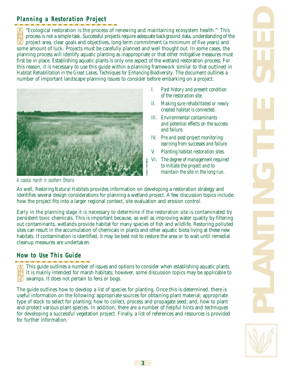# **Planning a Restoration Project**

"Ecological restoration is the process of renewing and maintaining ecosystem health."2 This process is not a simple task. Successful projects require adequate background data, understanding of the project area, clear goals and objectives, long-term commitment (a minimum of five years) and some amount of luck. Projects must be carefully planned and well thought out. In some cases, the planning process will identify aquatic planting as inappropriate or that other mitigative measures must first be in place. Establishing aquatic plants is only one aspect of the wetland restoration process. For this reason, it is necessary to use this guide within a planning framework similar to that outlined in *Habitat Rehabilitation in the Great Lakes, Techniques for Enhancing Biodiversity*. The document outlines a number of important landscape planning issues to consider before embarking on a project:



- *I. Past history and present condition of the restoration site.*
- *II. Making sure rehabilitated or newly created habitat is connected.*
- *III. Environmental contaminants and potential effects on the success and failure.*
- *IV. Pre and post-project monitoring: learning from successes and failure.*
- *V. Planting habitat restoration sites.*
- *VI. The degree of management required to initiate the project and to maintain the site in the long run.*

As well, *Restoring Natural Habitats* provides information on developing a restoration strategy and identifies several design considerations for planning a wetland project. A few discussion topics include: how the project fits into a larger regional context, site evaluation and erosion control.

Early in the planning stage it is necessary to determine if the restoration site is contaminated by persistent toxic chemicals. This is important because, as well as improving water quality by filtering out contaminants, wetlands provide habitat for many species of fish and wildlife. Restoring polluted sites can result in the accumulation of chemicals in plants and other aquatic biota living at these new habitats. If contamination is identified, it may be best not to restore the area or to wait until remedial cleanup measures are undertaken.

# **How to Use This Guide**

This guide outlines a number of issues and options to consider when establishing aquatic plants. It is mainly intended for marsh habitats; however, some discussion topics may be applicable to swamps. It does not pertain to fens or bogs.

The guide outlines how to develop a list of species for planting. Once this is determined, there is useful information on the following: appropriate sources for obtaining plant material; appropriate type of stock to select for planting; how to collect, process and propagate seed; and, how to plant and protect various plant species. In addition, there are a number of helpful hints and techniques for developing a successful vegetation project. Finally, a list of references and resources is provided for further information.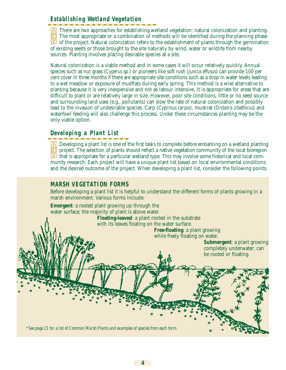# **Establishing Wetland Vegetation**

There are two approaches for establishing wetland vegetation: natural colonization and planting. The most appropriate or a combination of methods will be identified during the planning phase of the project. Natural colonization refers to the establishment of plants through the germination of existing seeds or those brought to the site naturally by wind, water or wildlife from nearby sources. Planting involves placing desirable species at a site.

Natural colonization is a viable method and in some cases it will occur relatively quickly. Annual species such as nut grass (*Cyperus* sp*.*) or pioneers like soft rush (*Juncus effusus*) can provide 100 per cent cover in three months if there are appropriate site conditions such as a drop in water levels leading to a wet meadow or exposure of mudflats during early spring. This method is a wise alternative to planting because it is very inexpensive and not as labour intensive. It is appropriate for areas that are difficult to plant or are relatively large in size. However, poor site conditions, little or no seed source and surrounding land uses (e.g., pollutants) can slow the rate of natural colonization and possibly lead to the invasion of undesirable species. Carp (*Cyprinus carpio*), muskrat (*Ondatra zibethicus*) and waterfowl feeding will also challenge this process. Under these circumstances planting may be the only viable option.

# **Developing a Plant List**

Developing a plant list is one of the first tasks to complete before embarking on a wetland planting project. The selection of plants should reflect a native vegetation community of the local bioregion that is appropriate for a particular wetland type. This may involve some historical and local community research. Each project will have a unique plant list based on local environmental conditions and the desired outcome of the project. When developing a plant list, consider the following points.

# **MARSH VEGETATION FORMS**

Before developing a plant list it is helpful to understand the different forms of plants growing in a marsh environment. Various forms include:

**Emergent**: a rooted plant growing up through the water surface; the majority of plant is above water.

> **Floating-leaved**: a plant rooted in the substrate with its leaves floating on the water surface.

> > **4**

**Free-floating**: a plant growing while freely floating on water.

> **Submergent**: a plant growing completely underwater; can be rooted or floating.

*\*See page 21 for a list of Common Marsh Plants and examples of species from each form.*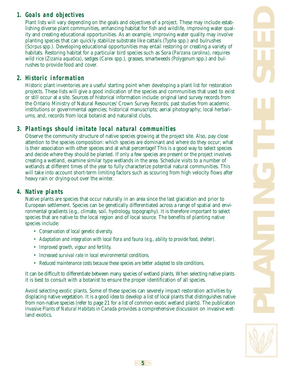# **1. Goals and objectives**

Plant lists will vary depending on the goals and objectives of a project. These may include establishing diverse plant communities, enhancing habitat for fish and wildlife, improving water quality and creating educational opportunities. As an example, improving water quality may involve planting species that can quickly stabilize substrate like cattails (*Typha* spp.) and bulrushes (*Scirpus* spp*.*). Developing educational opportunities may entail restoring or creating a variety of habitats. Restoring habitat for a particular bird species such as Sora (*Parzana carolina*), requires wild rice (*Zizania aquatica*), sedges (*Carex* spp.), grasses, smartweeds (*Polygonum* spp.) and bulrushes to provide food and cover.

# **2. Historic information**

Historic plant inventories are a useful starting point when developing a plant list for restoration projects. These lists will give a good indication of the species and communities that used to exist or still occur at a site. Sources of historical information include: original land survey records from the Ontario Ministry of Natural Resources' Crown Survey Records; past studies from academic institutions or governmental agencies; historical manuscripts; aerial photography; local herbariums; and, records from local botanist and naturalist clubs.

# **3. Plantings should imitate local natural communities**

Observe the community structure of native species growing at the project site. Also, pay close attention to the species composition: which species are dominant and where do they occur; what is their association with other species and at what percentage? This is a good way to select species and decide where they should be planted. If only a few species are present or the project involves creating a wetland, examine similar type wetlands in the area. Schedule visits to a number of wetlands at different times of the year to fully characterize potential natural communities. This will take into account short-term limiting factors such as scouring from high velocity flows after heavy rain or drying-out over the winter.

# **4. Native plants**

Native plants are species that occur naturally in an area since the last glaciation and prior to European settlement. Species can be genetically differentiated across a range of spatial and environmental gradients (e.g., climate, soil, hydrology, topography). It is therefore important to select species that are native to the local region and of local source. The benefits of planting native species include:

- *Conservation of local genetic diversity.*
- *Adaptation and integration with local flora and fauna (e.g., ability to provide food, shelter).*
- *Improved growth, vigour and fertility.*
- *Increased survival rate in local environmental conditions.*
- *Reduced maintenance costs because these species are better adapted to site conditions.*

It can be difficult to differentiate between many species of wetland plants. When selecting native plants it is best to consult with a botanist to ensure the proper identification of all species.

Avoid selecting exotic plants. Some of these species can severely impact restoration activities by displacing native vegetation. It is a good idea to develop a list of local plants that distinguishes native from non-native species (refer to page 21 for a list of common exotic wetland plants). The publication *Invasive Plants of Natural Habitats in Canada* provides a comprehensive discussion on invasive wetland exotics.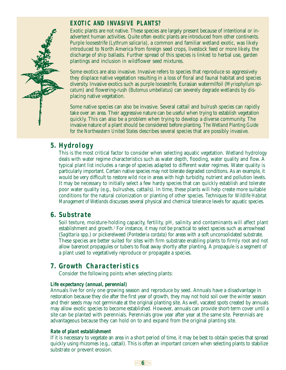# **EXOTIC AND INVASIVE PLANTS?**

Exotic plants are not native. These species are largely present because of intentional or inadvertent human activities. Quite often exotic plants are introduced from other continents. Purple loosestrife (*Lythrum salicaria*), a common and familiar wetland exotic, was likely introduced to North America from foreign seed crops, livestock feed or more likely, the discharge of ship ballasts. Further spread of this species is linked to herbal use, garden plantings and inclusion in wildflower seed mixtures.

Some exotics are also invasive. Invasive refers to species that reproduce so aggressively they displace native vegetation resulting in a loss of floral and faunal habitat and species diversity. Invasive exotics such as purple loosestrife, Eurasian watermilfoil (*Myriophyllum spicatum*) and flowering-rush (*Butomus umbellatus*) can severely degrade wetlands by displacing native vegetation.

Some native species can also be invasive. Several cattail and bulrush species can rapidly take over an area. Their aggressive nature can be useful when trying to establish vegetation quickly. This can also be a problem when trying to develop a diverse community. The invasive nature of a plant should be considered before planting. *The Wetland Planting Guide for the Northeastern United States* describes several species that are possibly invasive.

# **5. Hydrology**

This is the most critical factor to consider when selecting aquatic vegetation. Wetland hydrology deals with water regime characteristics such as water depth, flooding, water quality and flow. A typical plant list includes a range of species adapted to different water regimes. Water quality is particularly important. Certain native species may not tolerate degraded conditions. As an example, it would be very difficult to restore wild rice in areas with high turbidity, nutrient and pollution levels. It may be necessary to initially select a few hardy species that can quickly establish and tolerate poor water quality (e.g., bulrushes, cattails). In time, these plants will help create more suitable conditions for the natural colonization or planting of other species. *Techniques for Wildlife Habitat Management of Wetlands* discusses several physical and chemical tolerance levels for aquatic species.

# **6. Substrate**

Soil texture, moisture-holding capacity, fertility, pH, salinity and contaminants will affect plant establishment and growth.<sup>3</sup> For instance, it may not be practical to select species such as arrowhead (*Sagittaria* spp.) or pickerelweed (*Pontederia cordata*) for areas with a soft unconsolidated substrate. These species are better suited for sites with firm substrate enabling plants to firmly root and not allow bareroot propagules or tubers to float away shortly after planting. A propagule is a segment of a plant used to vegetatively reproduce or propagate a species.

# **7. Growth Characteristics**

Consider the following points when selecting plants:

#### *Life expectancy (annual, perennial)*

Annuals live for only one growing season and reproduce by seed. Annuals have a disadvantage in restoration because they die after the first year of growth, they may not hold soil over the winter season and their seeds may not germinate at the original planting site. As well, vacated spots created by annuals may allow exotic species to become established. However, annuals can provide short-term cover until a site can be planted with perennials. Perennials grow year after year at the same site. Perennials are advantageous because they can hold on to and expand from the original planting site.

#### *Rate of plant establishment*

If it is necessary to vegetate an area in a short period of time, it may be best to obtain species that spread quickly using rhizomes (e.g., cattail). This is often an important concern when selecting plants to stabilize substrate or prevent erosion.

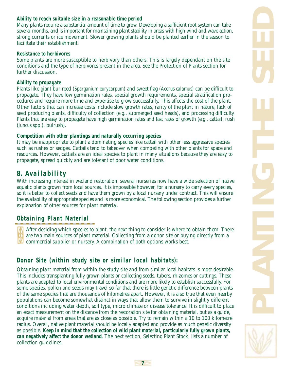#### *Ability to reach suitable size in a reasonable time period*

Many plants require a substantial amount of time to grow. Developing a sufficient root system can take several months, and is important for maintaining plant stability in areas with high wind and wave action, strong currents or ice movement. Slower growing plants should be planted earlier in the season to facilitate their establishment.

#### *Resistance to herbivores*

Some plants are more susceptible to herbivory than others. This is largely dependant on the site conditions and the type of herbivores present in the area. See the Protection of Plants section for further discussion.

#### *Ability to propagate*

Plants like giant bur-reed (*Sparganium eurycarpum*) and sweet flag (*Acorus calamus*) can be difficult to propagate. They have low germination rates, special growth requirements, special stratification procedures and require more time and expertise to grow successfully. This affects the cost of the plant. Other factors that can increase costs include slow growth rates, rarity of the plant in nature, lack of seed producing plants, difficulty of collection (e.g., submerged seed heads), and processing difficulty. Plants that are easy to propagate have high germination rates and fast rates of growth (e.g., cattail, rush (*Juncus* spp.), bulrush).

#### *Competition with other plantings and naturally occurring species*

It may be inappropriate to plant a dominating species like cattail with other less aggressive species such as rushes or sedges. Cattails tend to takeover when competing with other plants for space and resources. However, cattails are an ideal species to plant in many situations because they are easy to propagate, spread quickly and are tolerant of poor water conditions.

# **8. Availability**

With increasing interest in wetland restoration, several nurseries now have a wide selection of native aquatic plants grown from local sources. It is impossible however, for a nursery to carry every species, so it is better to collect seeds and have them grown by a local nursery under contract. This will ensure the availability of appropriate species and is more economical. The following section provides a further explanation of other sources for plant material.

# **Obtaining Plant Material**

After deciding which species to plant, the next thing to consider is where to obtain them. There are two main sources of plant material. Collecting from a donor site or buying directly from a commercial supplier or nursery. A combination of both options works best.

# **Donor Site (within study site or similar local habitats):**

Obtaining plant material from within the study site and from similar local habitats is most desirable. This includes transplanting fully grown plants or collecting seeds, tubers, rhizomes or cuttings. These plants are adapted to local environmental conditions and are more likely to establish successfully. For some species, pollen and seeds may travel so far that there is little genetic difference between plants of the same species that are thousands of kilometres apart. However, it is also true that even nearby populations can become somewhat distinct in ways that allow them to survive in slightly different conditions including water depth, soil type, micro climate or disease tolerance. It is difficult to place an exact measurement on the distance from the restoration site for obtaining material, but as a guide, acquire material from areas that are as close as possible. Try to remain within a 10 to 100 kilometre radius. Overall, native plant material should be locally adapted and provide as much genetic diversity as possible. *Keep in mind that the collection of wild plant material, particularly fully grown plants, can negatively affect the donor wetland*. The next section, Selecting Plant Stock, lists a number of collection guidelines.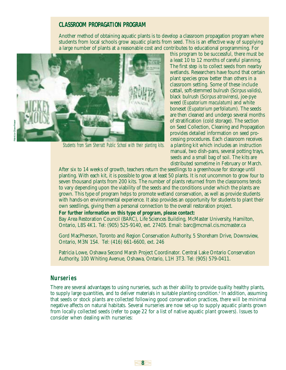#### **CLASSROOM PROPAGATION PROGRAM**

Another method of obtaining aquatic plants is to develop a classroom propagation program where students from local schools grow aquatic plants from seed. This is an effective way of supplying a large number of plants at a reasonable cost and contributes to educational programming. For



Students from Sam Sherratt Public School with their planting kits.

this program to be successful, there must be a least 10 to 12 months of careful planning. The first step is to collect seeds from nearby wetlands. Researchers have found that certain plant species grow better than others in a classroom setting. Some of these include cattail, soft-stemmed bulrush (*Scirpus validis*), black bulrush (*Scirpus atrovirens*), joe-pye weed (*Eupatorium maculatum*) and white boneset (*Eupatorium perfoliatum*). The seeds are then cleaned and undergo several months of stratification (cold storage). The section on Seed Collection, Cleaning and Propagation provides detailed information on seed processing procedures. Each classroom receives a planting kit which includes an instruction manual, two dish-pans, several potting trays, seeds and a small bag of soil. The kits are distributed sometime in February or March.

After six to 14 weeks of growth, teachers return the seedlings to a greenhouse for storage until planting. With each kit, it is possible to grow at least 50 plants. It is not uncommon to grow four to seven thousand plants from 200 kits. The number of plants returned from the classrooms tends to vary depending upon the viability of the seeds and the conditions under which the plants are grown. This type of program helps to promote wetland conservation, as well as provide students with hands-on environmental experience. It also provides an opportunity for students to plant their own seedlings, giving them a personal connection to the overall restoration project.

#### *For further information on this type of program, please contact:*

Bay Area Restoration Council (BARC), Life Sciences Building, McMaster University, Hamilton, Ontario, L8S 4K1. Tel: (905) 525-9140, ext. 27405. Email: barc@mcmail.cis.mcmaster.ca

Gord MacPherson, Toronto and Region Conservation Authority, 5 Shoreham Drive, Downsview, Ontario, M3N 1S4. Tel: (416) 661-6600, ext. 246

Patricia Lowe, Oshawa Second Marsh Project Coordinator. Central Lake Ontario Conservation Authority, 100 Whiting Avenue, Oshawa, Ontario, L1H 3T3. Tel: (905) 579-0411.

#### **Nurseries**

There are several advantages to using nurseries, such as their ability to provide quality healthy plants, to supply large quantities, and to deliver materials in suitable planting condition.4 In addition, assuming that seeds or stock plants are collected following good conservation practices, there will be minimal negative affects on natural habitats. Several nurseries are now set-up to supply aquatic plants grown from locally collected seeds (refer to page 22 for a list of native aquatic plant growers). Issues to consider when dealing with nurseries: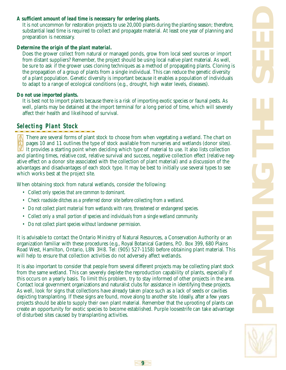#### *A sufficient amount of lead time is necessary for ordering plants.*

It is not uncommon for restoration projects to use 20,000 plants during the planting season; therefore, substantial lead time is required to collect and propagate material. At least one year of planning and preparation is necessary.

#### *Determine the origin of the plant material.*

Does the grower collect from natural or managed ponds, grow from local seed sources or import from distant suppliers? Remember, the project should be using local native plant material. As well, be sure to ask if the grower uses cloning techniques as a method of propagating plants. Cloning is the propagation of a group of plants from a single individual. This can reduce the genetic diversity of a plant population. Genetic diversity is important because it enables a population of individuals to adapt to a range of ecological conditions (e.g., drought, high water levels, diseases).

#### *Do not use imported plants.*

It is best not to import plants because there is a risk of importing exotic species or faunal pests. As well, plants may be detained at the import terminal for a long period of time, which will severely affect their health and likelihood of survival.

# **Selecting Plant Stock**

There are several forms of plant stock to choose from when vegetating a wetland. The chart on pages 10 and 11 outlines the type of stock available from nurseries and wetlands (donor sites). It provides a starting point when deciding which type of material to use. It also lists collection and planting times, relative cost, relative survival and success, negative collection effect (relative negative effect on a donor site associated with the collection of plant material) and a discussion of the advantages and disadvantages of each stock type. It may be best to initially use several types to see which works best at the project site.

When obtaining stock from natural wetlands, consider the following:

- *Collect only species that are common to dominant.*
- *Check roadside ditches as a preferred donor site before collecting from a wetland.*
- *Do not collect plant material from wetlands with rare, threatened or endangered species.*
- *Collect only a small portion of species and individuals from a single wetland community.*
- *Do not collect plant species without landowner permission.*

It is advisable to contact the Ontario Ministry of Natural Resources, a Conservation Authority or an organization familiar with these procedures (e.g., Royal Botanical Gardens, P.O. Box 399, 680 Plains Road West, Hamilton, Ontario, L8N 3H8. Tel: (905) 527-1158) before obtaining plant material. This will help to ensure that collection activities do not adversely affect wetlands.

It is also important to consider that people from several different projects may be collecting plant stock from the same wetland. This can severely deplete the reproduction capability of plants, especially if this occurs on a yearly basis. To limit this problem, try to stay informed of other projects in the area. Contact local government organizations and naturalist clubs for assistance in identifying these projects. As well, look for signs that collections have already taken place such as a lack of seeds or cavities depicting transplanting. If these signs are found, move along to another site. Ideally, after a few years projects should be able to supply their own plant material. Remember that the uprooting of plants can create an opportunity for exotic species to become established. Purple loosestrife can take advantage of disturbed sites caused by transplanting activities.

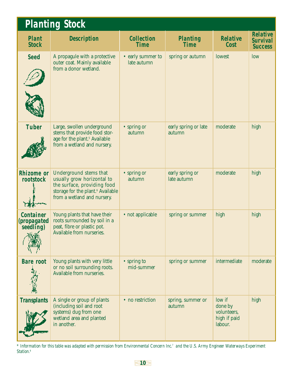| <b>Planting Stock</b>                        |                                                                                                                                                                     |                                  |                                |                                                             |                                                      |  |  |  |
|----------------------------------------------|---------------------------------------------------------------------------------------------------------------------------------------------------------------------|----------------------------------|--------------------------------|-------------------------------------------------------------|------------------------------------------------------|--|--|--|
| <b>Plant</b><br><b>Stock</b>                 | <b>Description</b>                                                                                                                                                  | <b>Collection</b><br><b>Time</b> | <b>Planting</b><br><b>Time</b> | <b>Relative</b><br><b>Cost</b>                              | <b>Relative</b><br><b>Survival</b><br><b>Success</b> |  |  |  |
| <b>Seed</b>                                  | A propagule with a protective<br>outer coat. Mainly available<br>from a donor wetland.                                                                              | • early summer to<br>late autumn | spring or autumn               | lowest                                                      | low                                                  |  |  |  |
| <b>Tuber</b>                                 | Large, swollen underground<br>stems that provide food stor-<br>age for the plant. <sup>5</sup> Available<br>from a wetland and nursery.                             | • spring or<br>autumn            | early spring or late<br>autumn | moderate                                                    | high                                                 |  |  |  |
| <b>Rhizome</b> or<br>rootstock               | Underground stems that<br>usually grow horizontal to<br>the surface, providing food<br>storage for the plant. <sup>6</sup> Available<br>from a wetland and nursery. | • spring or<br>autumn            | early spring or<br>late autumn | moderate                                                    | high                                                 |  |  |  |
| <b>Container</b><br>(propagated<br>seedling) | Young plants that have their<br>roots surrounded by soil in a<br>peat, fibre or plastic pot.<br>Available from nurseries.                                           | • not applicable                 | spring or summer               | high                                                        | high                                                 |  |  |  |
| <b>Bare root</b>                             | Young plants with very little<br>or no soil surrounding roots.<br>Available from nurseries.                                                                         | • spring to<br>mid-summer        | spring or summer               | intermediate                                                | moderate                                             |  |  |  |
| <b>Transplants</b>                           | A single or group of plants<br>(including soil and root<br>systems) dug from one<br>wetland area and planted<br>in another.                                         | • no restriction                 | spring, summer or<br>autumn    | low if<br>done by<br>volunteers,<br>high if paid<br>labour. | high                                                 |  |  |  |

*\* Information for this table was adapted with permission from Environmental Concern Inc.7 and the U.S. Army Engineer Waterways Experiment Station.8*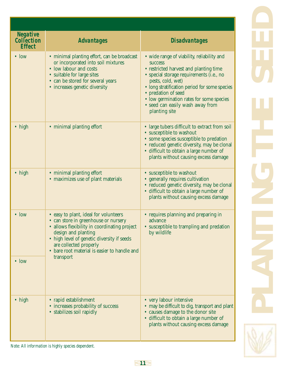| <b>Negative</b><br><b>Collection</b><br><b>Effect</b> | <b>Advantages</b>                                                                                                                                                                                                                                                            | <b>Disadvantages</b>                                                                                                                                                                                                                                                                                                                             |  |  |
|-------------------------------------------------------|------------------------------------------------------------------------------------------------------------------------------------------------------------------------------------------------------------------------------------------------------------------------------|--------------------------------------------------------------------------------------------------------------------------------------------------------------------------------------------------------------------------------------------------------------------------------------------------------------------------------------------------|--|--|
| $\bullet$ low                                         | • minimal planting effort, can be broadcast<br>or incorporated into soil mixtures<br>• low labour and costs<br>• suitable for large sites<br>• can be stored for several years<br>• increases genetic diversity                                                              | · wide range of viability, reliability and<br><b>SUCCESS</b><br>• restricted harvest and planting time<br>· special storage requirements (i.e., no<br>pests, cold, wet)<br>• long stratification period for some species<br>• predation of seed<br>• low germination rates for some species<br>• seed can easily wash away from<br>planting site |  |  |
| $\bullet$ high                                        | • minimal planting effort                                                                                                                                                                                                                                                    | • large tubers difficult to extract from soil<br>• susceptible to washout<br>• some species susceptible to predation<br>• reduced genetic diversity, may be clonal<br>• difficult to obtain a large number of<br>plants without causing excess damage                                                                                            |  |  |
| $\bullet$ high                                        | · minimal planting effort<br>· maximizes use of plant materials                                                                                                                                                                                                              | • susceptible to washout<br>• generally requires cultivation<br>• reduced genetic diversity, may be clonal<br>• difficult to obtain a large number of<br>plants without causing excess damage                                                                                                                                                    |  |  |
| $\bullet$ low                                         | • easy to plant, ideal for volunteers<br>• can store in greenhouse or nursery<br>· allows flexibility in coordinating project<br>design and planting<br>• high level of genetic diversity if seeds<br>are collected properly<br>• bare root material is easier to handle and | • requires planning and preparing in<br>advance<br>• susceptible to trampling and predation<br>by wildlife                                                                                                                                                                                                                                       |  |  |
| $\cdot$ low                                           | transport                                                                                                                                                                                                                                                                    |                                                                                                                                                                                                                                                                                                                                                  |  |  |
| $\bullet$ high                                        | • rapid establishment<br>• increases probability of success<br>• stabilizes soil rapidly                                                                                                                                                                                     | • very labour intensive<br>• may be difficult to dig, transport and plant<br>• causes damage to the donor site<br>· difficult to obtain a large number of<br>plants without causing excess damage                                                                                                                                                |  |  |

**PLANTING THE SEED** 

*Note: All information is highly species dependent.*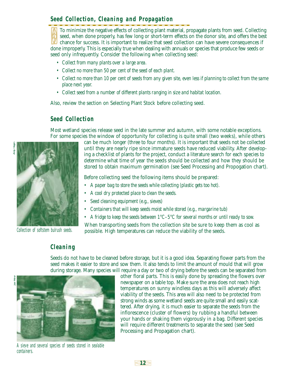# **Seed Collection, Cleaning and Propagation**

To minimize the negative effects of collecting plant material, propagate plants from seed. Collecting seed, when done properly, has few long or short-term effects on the donor site, and offers the best chance for success. It is important to realize that seed collection can have severe consequences if done improperly. This is especially true when dealing with annuals or species that produce few seeds or seed only infrequently. Consider the following when collecting seed:

- *Collect from many plants over a large area.*
- *Collect no more than 50 per cent of the seed of each plant.*
- *Collect no more than 10 per cent of seeds from any given site, even less if planning to collect from the same place next year.*
- *Collect seed from a number of different plants ranging in size and habitat location.*

Also, review the section on Selecting Plant Stock before collecting seed.

#### **Seed Collection**

Most wetland species release seed in the late summer and autumn, with some notable exceptions. For some species the window of opportunity for collecting is quite small (two weeks), while others



Collection of softstem bulrush seeds.

can be much longer (three to four months). It is important that seeds not be collected until they are nearly ripe since immature seeds have reduced viability. After developing a checklist of plants for the project, conduct a literature search for each species to determine what time of year the seeds should be collected and how they should be stored to obtain maximum germination (see Seed Processing and Propogation chart).

Before collecting seed the following items should be prepared:

- *A paper bag to store the seeds while collecting (plastic gets too hot).*
- *A cool dry protected place to clean the seeds.*
- *Seed cleaning equipment (e.g., sieves)*
- *Containers that will keep seeds moist while stored (e.g., margarine tub)*
- *A fridge to keep the seeds between 1°C–5°C for several months or until ready to sow.*

When transporting seeds from the collection site be sure to keep them as cool as possible. High temperatures can reduce the viability of the seeds.

#### **Cleaning**

Seeds do not have to be cleaned before storage, but it is a good idea. Separating flower parts from the seed makes it easier to store and sow them. It also tends to limit the amount of mould that will grow during storage. Many species will require a day or two of drying before the seeds can be separated from

**12**





other floral parts. This is easily done by spreading the flowers over newspaper on a table top. Make sure the area does not reach high temperatures on sunny windless days as this will adversely affect viability of the seeds. This area will also need to be protected from strong winds as some wetland seeds are quite small and easily scattered. After drying, it is much easier to separate the seeds from the inflorescence (cluster of flowers) by rubbing a handful between your hands or shaking them vigorously in a bag. Different species will require different treatments to separate the seed (see Seed Processing and Propagation chart).

A sieve and several species of seeds stored in sealable containers.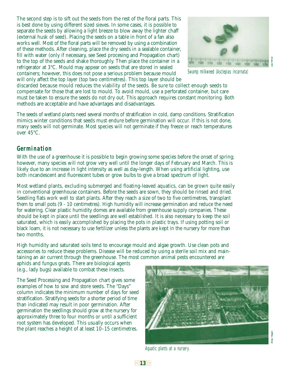The second step is to sift out the seeds from the rest of the floral parts. This is best done by using different sized sieves. In some cases, it is possible to separate the seeds by allowing a light breeze to blow away the lighter chaff (external husk of seed). Placing the seeds on a table in front of a fan also works well. Most of the floral parts will be removed by using a combination of these methods. After cleaning, place the dry seeds in a sealable container, fill with water (only if necessary, see Seed procesing and Propagation chart) to the top of the seeds and shake thoroughly. Then place the container in a refrigerator at 3°C. Mould may appear on seeds that are stored in sealed containers; however, this does not pose a serious problem because mould will only affect the top layer (top two centimetres). This top layer should be



Swamp milkweed (Asclepias incarnata)

discarded because mould reduces the viability of the seeds. Be sure to collect enough seeds to compensate for those that are lost to mould. To avoid mould, use a perforated container, but care must be taken to ensure the seeds do not dry out. This approach requires constant monitoring. Both methods are acceptable and have advantages and disadvantages.

The seeds of wetland plants need several months of stratification in cold, damp conditions. Stratification mimics winter conditions that seeds must endure before germination will occur. If this is not done, many seeds will not germinate. Most species will not germinate if they freeze or reach temperatures over 45°C.

#### **Germination**

With the use of a greenhouse it is possible to begin growing some species before the onset of spring; however, many species will not grow very well until the longer days of February and March. This is likely due to an increase in light intensity as well as day-length. When using artificial lighting, use both incandescent and fluorescent tubes or grow bulbs to give a broad spectrum of light.

Most wetland plants, excluding submerged and floating-leaved aquatics, can be grown quite easily in conventional greenhouse containers. Before the seeds are sown, they should be rinsed and dried. Seedling flats work well to start plants. After they reach a size of two to five centimetres, transplant them to small pots (9 - 10 centimetres). High humidity will increase germination and reduce the need for watering. Clear plastic humidity domes are available from greenhouse supply companies. These should be kept in place until the seedlings are well established. It is also necessary to keep the soil saturated, which is easily accomplished by placing the pots in plastic trays. If using potting soil or black loam, it is not necessary to use fertilizer unless the plants are kept in the nursery for more than two months.

High humidity and saturated soils tend to encourage mould and algae growth. Use clean pots and accessories to reduce these problems. Disease will be reduced by using a sterile soil mix and maintaining an air current through the greenhouse. The most common animal pests encountered are

aphids and fungus gnats. There are biological agents (e.g., lady bugs) available to combat these insects.

The Seed Processing and Propagation chart gives some examples of how to sow and store seeds. The "Days" column indicates the minimum number of days for seed stratification. Stratifying seeds for a shorter period of time than indicated may result in poor germination. After germination the seedlings should grow at the nursery for approximately three to four months or until a sufficient root system has developed. This usually occurs when the plant reaches a height of at least 10–15 centimetres.



Aquatic plants at a nursery.

**13**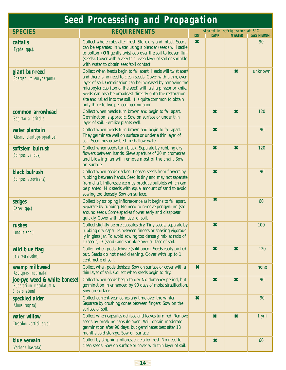| <b>Seed Processsing and Propagation</b>                                              |                                                                                                                                                                                                                                                                                                                                                                                                                                       |                           |                     |                                                  |                       |  |  |
|--------------------------------------------------------------------------------------|---------------------------------------------------------------------------------------------------------------------------------------------------------------------------------------------------------------------------------------------------------------------------------------------------------------------------------------------------------------------------------------------------------------------------------------|---------------------------|---------------------|--------------------------------------------------|-----------------------|--|--|
| <b>SPECIES</b>                                                                       | <b>REQUIREMENTS</b>                                                                                                                                                                                                                                                                                                                                                                                                                   | <b>DRY</b>                | <b>DAMP</b>         | stored in refrigerator at 3°C<br><b>IN WATER</b> | <b>DAYS (MINIMUM)</b> |  |  |
| cattails<br>(Typha spp.).                                                            | Collect whole cobs after frost. Store dry and intact. Seeds<br>can be separated in water using a blender (seeds will settle<br>to bottom) OR gently twist cob over the soil to loosen fluff<br>(seeds). Cover with a very thin, even layer of soil or sprinkle<br>with water to obtain seed/soil contact.                                                                                                                             | $\boldsymbol{\ast}$       |                     |                                                  | 90                    |  |  |
| giant bur-reed<br>(Sparganium eurycarpum)                                            | Collect when heads begin to fall apart. Heads will twist apart<br>and there is no need to clean seeds. Cover with a thin, even<br>layer of soil. Germination can be increased by removing the<br>micropylar cap (top of the seed) with a sharp razor or knife.<br>Seeds can also be broadcast directly onto the restoration<br>site and raked into the soil. It is quite common to obtain<br>only three to five per cent germination. |                           |                     | $\boldsymbol{\ast}$                              | unknown               |  |  |
| common arrowhead<br>(Sagittaria latifolia)                                           | Collect when heads turn brown and begin to fall apart.<br>Germination is sporadic. Sow on surface or under thin<br>layer of soil. Fertilize plants well.                                                                                                                                                                                                                                                                              |                           | ×                   | $\boldsymbol{\ast}$                              | 120                   |  |  |
| water plantain<br>(Alisma plantago-aquatica)                                         | Collect when heads turn brown and begin to fall apart.<br>They germinate well on surface or under a thin layer of<br>soil. Seedlings grow best in shallow water.                                                                                                                                                                                                                                                                      |                           | ×                   |                                                  | 90                    |  |  |
| softstem bulrush<br>(Scirpus validus)                                                | Collect when seeds turn black. Separate by rubbing dry<br>flowers between hands. Sieve aperture of 20 micrometres<br>and blowing fan will remove most of the chaff. Sow<br>on surface.                                                                                                                                                                                                                                                |                           | $\boldsymbol{\ast}$ | $\boldsymbol{\ast}$                              | 120                   |  |  |
| black bulrush<br>(Scirpus atrovirens)                                                | Collect when seeds darken. Loosen seeds from flowers by<br>rubbing between hands. Seed is tiny and may not separate<br>from chaff. Inflorescence may produce bulblets which can<br>be planted. Mix seeds with equal amount of sand to avoid<br>sowing too densely. Sow on surface.                                                                                                                                                    |                           | $\boldsymbol{\ast}$ |                                                  | 90                    |  |  |
| <b>sedges</b><br>(Carex spp.)                                                        | Collect by stripping inflorescence as it begins to fall apart.<br>Separate by rubbing. No need to remove perigynium (sac<br>around seed). Some species flower early and disappear<br>quickly. Cover with thin layer of soil.                                                                                                                                                                                                          |                           | $\bm{x}$            |                                                  | 60                    |  |  |
| <b>rushes</b><br>(Juncus spp.)                                                       | Collect slightly before capsules dry. Tiny seeds, separate by<br>rubbing dry capsules between fingers or shaking vigorous-<br>ly in glass jar. To avoid sowing too densely, mix at ratio of<br>1 (seeds): 3 (sand) and sprinkle over surface of soil.                                                                                                                                                                                 |                           | Ж                   |                                                  | 100                   |  |  |
| wild blue flag<br>(Iris versicolor)                                                  | Collect when pods dehisce (split open). Seeds easily picked<br>out. Seeds do not need cleaning. Cover with up to 1<br>centimetre of soil.                                                                                                                                                                                                                                                                                             |                           | $\boldsymbol{\ast}$ | $\boldsymbol{\ast}$                              | 120                   |  |  |
| swamp milkweed<br>(Asclepias incarnata)                                              | Collect when pods dehisce. Sow on surface or cover with a<br>thin layer of soil. Collect when seeds begin to dry.                                                                                                                                                                                                                                                                                                                     | $\boldsymbol{\ast}$       |                     |                                                  | none                  |  |  |
| <b>joe-pye weed &amp; white boneset</b><br>(Eupatorium maculatum &<br>E. peroliatum) | Collect when seeds begin to dry. No domancy period, but<br>germination in enhanced by 90 days of moist stratification.<br>Sow on surface.                                                                                                                                                                                                                                                                                             |                           | ×                   | ×                                                | 90                    |  |  |
| speckled alder<br>(Alnus rugosa)                                                     | Collect current-year cones any time over the winter.<br>Separate by crushing cones between fingers. Sow on the<br>surface of soil.                                                                                                                                                                                                                                                                                                    | $\boldsymbol{\mathsf{x}}$ |                     |                                                  | 90                    |  |  |
| water willow<br>(Decodon verticillatus)                                              | Collect when capsules dehisce and leaves turn red. Remove<br>seeds by breaking capsule open. Will obtain moderate<br>germination after 90 days, but germinates best after 18<br>months cold storage. Sow on surface.                                                                                                                                                                                                                  |                           | $\boldsymbol{\ast}$ | $\boldsymbol{\ast}$                              | $1 yr+$               |  |  |
| blue vervain<br>(Verbena hastata)                                                    | Collect by stripping inflorescence after frost. No need to<br>clean seeds. Sow on surface or cover with thin layer of soil.                                                                                                                                                                                                                                                                                                           |                           | $\boldsymbol{\ast}$ |                                                  | 60                    |  |  |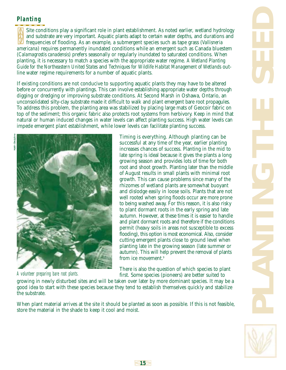# **Planting**

Site conditions play a significant role in plant establishment. As noted earlier, wetland hydrology and substrate are very important. Aquatic plants adapt to certain water depths, and durations and frequencies of flooding. As an example, a submergent species such as tape grass (*Vallisneria americana*) requires permanently inundated conditions while an emergent such as Canada bluestem (*Calamagrostis canadensis*) prefers seasonally or regularly inundated to saturated conditions. When planting, it is necessary to match a species with the appropriate water regime. *A Wetland Planting Guide for the Northeastern United States* and *Techniques for Wildlife Habitat Management of Wetlands* outline water regime requirements for a number of aquatic plants.

If existing conditions are not conducive to supporting aquatic plants they may have to be altered before or concurrently with plantings. This can involve establishing appropriate water depths through digging or dredging or improving substrate conditions. At Second Marsh in Oshawa, Ontario, an unconsolidated silty-clay substrate made it difficult to walk and plant emergent bare root propagules. To address this problem, the planting area was stabilized by placing large mats of Geocoir fabric on top of the sediment; this organic fabric also protects root systems from herbivory. Keep in mind that natural or human induced changes in water levels can affect planting success. High water levels can impede emergent plant establishment, while lower levels can facilitate planting success.



A volunteer preparing bare root plants.

Timing is everything. Although planting can be successful at any time of the year, earlier planting increases chances of success. Planting in the mid to late spring is ideal because it gives the plants a long growing season and provides lots of time for both root and shoot growth. Planting later than the middle of August results in small plants with minimal root growth. This can cause problems since many of the rhizomes of wetland plants are somewhat buoyant and dislodge easily in loose soils. Plants that are not well rooted when spring floods occur are more prone to being washed away. For this reason, it is also risky to plant dormant roots in the early spring and late autumn. However, at these times it is easier to handle and plant dormant roots and therefore if the conditions permit (heavy soils in areas not susceptible to excess flooding), this option is most economical. Also, consider cutting emergent plants close to ground level when planting late in the growing season (late summer or autumn). This will help prevent the removal of plants from ice movement<sup>9</sup>

There is also the question of which species to plant first. Some species (pioneers) are better suited to

growing in newly disturbed sites and will be taken over later by more dominant species. It may be a good idea to start with these species because they tend to establish themselves quickly and stabilize the substrate.

When plant material arrives at the site it should be planted as soon as possible. If this is not feasible, store the material in the shade to keep it cool and moist.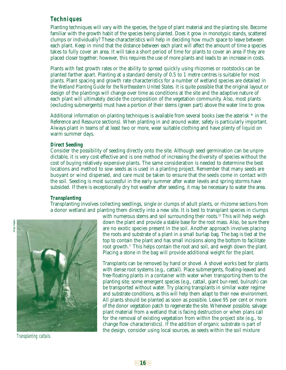# **Techniques**

Planting techniques will vary with the species, the type of plant material and the planting site. Become familiar with the growth habit of the species being planted. Does it grow in monotypic stands, scattered clumps or individually? These characteristics will help in deciding how much space to leave between each plant. Keep in mind that the distance between each plant will affect the amount of time a species takes to fully cover an area. It will take a short period of time for plants to cover an area if they are placed closer together; however, this requires the use of more plants and leads to an increase in costs.

Plants with fast growth rates or the ability to spread quickly using rhizomes or rootstocks can be planted farther apart. Planting at a standard density of 0.5 to 1 metre centres is suitable for most plants. Plant spacing and growth rate characteristics for a number of wetland species are detailed in the *Wetland Planting Guide for the Northeastern United States*. It is quite possible that the original layout or design of the plantings will change over time as conditions at the site and the adaptive nature of each plant will ultimately decide the composition of the vegetation community. Also, most plants (excluding submergents) must have a portion of their stems (green part) above the water line to grow.

Additional information on planting techniques is available from several books (see the asterisk \* in the Reference and Resource sections). When planting in and around water, safety is particularly important. Always plant in teams of at least two or more, wear suitable clothing and have plenty of liquid on warm summer days.

#### *Direct Seeding*

Consider the possibility of seeding directly onto the site. Although seed germination can be unpredictable, it is very cost effective and is one method of increasing the diversity of species without the cost of buying relatively expensive plants. The same consideration is needed to determine the best locations and method to sow seeds as is used in a planting project. Remember that many seeds are buoyant or wind dispersed, and care must be taken to ensure that the seeds come in contact with the soil. Seeding is most successful in the early summer after water levels and spring storms have subsided. If there is exceptionally dry hot weather after seeding, it may be necessary to water the area.

#### *Transplanting*

Transplanting involves collecting seedlings, single or clumps of adult plants, or rhizome sections from a donor wetland and planting them directly into a new site. It is best to transplant species in clumps



Transplanting cattails.

with numerous stems and soil surrounding their roots.<sup>10</sup> This will help weigh down the plant and provide a stable base for the root mass. Also, be sure there are no exotic species present in the soil. Another approach involves placing the roots and substrate of a plant in a small burlap bag. The bag is tied at the top to contain the plant and has small incisions along the bottom to facilitate root growth.<sup>11</sup> This helps contain the root and soil, and weigh down the plant. Placing a stone in the bag will provide additional weight for the plant.

Transplants can be removed by hand or shovel. A shovel works best for plants with dense root systems (e.g., cattail). Place submergents, floating-leaved and free-floating plants in a container with water when transporting them to the planting site; some emergent species (e.g., cattail, giant bur-reed, bulrush) can be transported without water. Try placing transplants in similar water regime and substrate conditions, as this will help them adapt to their new environment. All plants should be planted as soon as possible. Leave 95 per cent or more of the donor vegetation patch to regenerate the site. Whenever possible, salvage plant material from a wetland that is facing destruction or when plans call for the removal of existing vegetation from within the project site (e.g., to change flow characteristics). If the addition of organic substrate is part of the design, consider using local sources, as seeds within the soil mixture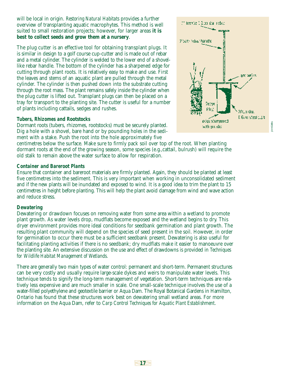will be local in origin. *Restoring Natural Habitats* provides a further overview of transplanting aquatic macrophytes. This method is well suited to small restoration projects; however, for larger areas **it is best to collect seeds and grow them at a nursery**.

The plug cutter is an effective tool for obtaining transplant plugs. It is similar in design to a golf course cup-cutter and is made out of rebar and a metal cylinder. The cylinder is welded to the lower end of a shovellike rebar handle. The bottom of the cylinder has a sharpened edge for cutting through plant roots. It is relatively easy to make and use. First the leaves and stems of an aquatic plant are pulled through the metal cylinder. The cylinder is then pushed down into the substrate cutting through the root mass. The plant remains safely inside the cylinder when the plug cutter is lifted out. Transplant plugs can then be placed on a tray for transport to the planting site. The cutter is useful for a number of plants including cattails, sedges and rushes.

#### *Tubers, Rhizomes and Rootstocks*

Dormant roots (tubers, rhizomes, rootstocks) must be securely planted. Dig a hole with a shovel, bare hand or by pounding holes in the sediment with a stake. Push the root into the hole approximately five

centimetres below the surface. Make sure to firmly pack soil over top of the root. When planting dormant roots at the end of the growing season, some species (e.g.,cattail, bulrush) will require the old stalk to remain above the water surface to allow for respiration.

#### *Container and Bareroot Plants*

Ensure that container and bareroot materials are firmly planted. Again, they should be planted at least five centimetres into the sediment. This is very important when working in unconsolidated sediment and if the new plants will be inundated and exposed to wind. It is a good idea to trim the plant to 15 centimetres in height before planting. This will help the plant avoid damage from wind and wave action and reduce stress.

#### *Dewatering*

Dewatering or drawdown focuses on removing water from some area within a wetland to promote plant growth. As water levels drop, mudflats become exposed and the wetland begins to dry. This dryer environment provides more ideal conditions for seedbank germination and plant growth. The resulting plant community will depend on the species of seed present in the soil. However, in order for germination to occur there must be a sufficient seedbank present. Dewatering is also useful for facilitating planting activities if there is no seedbank; dry mudflats make it easier to manoeuvre over the planting site. An extensive discussion on the use and effect of drawdowns is provided in *Techniques for Wildlife Habitat Management of Wetlands*.

There are generally two main types of water control: permanent and short-term. Permanent structures can be very costly and usually require large-scale dykes and weirs to manipulate water levels. This technique tends to signify the long-term management of vegetation. Short-term techniques are relatively less expensive and are much smaller in scale. One small-scale technique involves the use of a water-filled polyethylene and geotextile barrier or Aqua Dam. The Royal Botanical Gardens in Hamilton, Ontario has found that these structures work best on dewatering small wetland areas. For more information on the Aqua Dam, refer to *Carp Control Techniques for Aquatic Plant Establishment*.

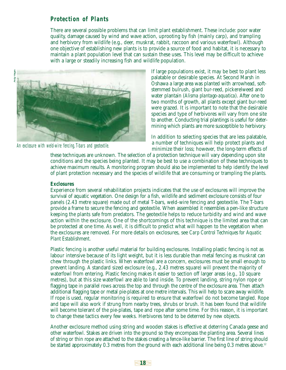#### **Protection of Plants**

There are several possible problems that can limit plant establishment. These include: poor water quality, damage caused by wind and wave action, uprooting by fish (mainly carp), and trampling and herbivory from wildlife (e.g., deer, muskrat, rabbit, raccoon and various waterfowl). Although one objective of establishing new plants is to provide a source of food and habitat, it is necessary to maintain a plant population level that can sustain these uses. This level may be difficult to achieve with a large or steadily increasing fish and wildlife population.



An exclosure with weld-wire fencing, T-bars and geotextile.

If large populations exist, it may be best to plant less palatable or desirable species. At Second Marsh in Oshawa a large area was planted with arrowhead, softstemmed bulrush, giant bur-reed, pickerelweed and water plantain (*Alisma plantago-aquatica*). After one to two months of growth, all plants except giant bur-reed were grazed. It is important to note that the desirable species and type of herbivores will vary from one site to another. Conducting trial plantings is useful for determining which plants are more susceptible to herbivory.

In addition to selecting species that are less palatable, a number of techniques will help protect plants and minimize their loss; however, the long-term effects of

these techniques are unknown. The selection of a protection technique will vary depending upon site conditions and the species being planted. It may be best to use a combination of these techniques to achieve maximum results. A monitoring program should also be implemented to help identify the level of plant protection necessary and the species of wildlife that are consuming or trampling the plants.

#### *Exclosures*

Experience from several rehabilitation projects indicates that the use of exclosures will improve the survival of aquatic vegetation. One design for a fish, wildlife and sediment exclosure consists of four panels (2.43 metre square) made out of metal T-bars, weld-wire fencing and geotextile. The T-bars provide a frame to secure the fencing and geotextile. When assembled it resembles a pen-like structure keeping the plants safe from predators. The geotextile helps to reduce turbidity and wind and wave action within the exclosure. One of the shortcomings of this technique is the limited area that can be protected at one time. As well, it is difficult to predict what will happen to the vegetation when the exclosures are removed. For more details on exclosures, see *Carp Control Techniques for Aquatic Plant Establishment*.

Plastic fencing is another useful material for building exclosures. Installing plastic fencing is not as labour intensive because of its light weight, but it is less durable than metal fencing as muskrat can chew through the plastic links. When waterfowl are a concern, exclosures must be small enough to prevent landing. A standard sized exclosure (e.g., 2.43 metres square) will prevent the majority of waterfowl from entering. Plastic fencing makes it easier to section off larger areas (e.g., 10 square metres), but at this size waterfowl are able to land inside. To prevent landing, string nylon rope or flagging tape in parallel rows across the top and through the centre of the exclosure area. Then attach additional flagging tape or metal pie-plates at one metre intervals. This will help to scare away wildlife. If rope is used, regular monitoring is required to ensure that waterfowl do not become tangled. Rope and tape will also work if strung from nearby trees, shrubs or brush. It has been found that wildlife will become tolerant of the pie-plates, tape and rope after some time. For this reason, it is important to change these tactics every few weeks. Herbivores tend to be deterred by new objects.

Another exclosure method using string and wooden stakes is effective at deterring Canada geese and other waterfowl. Stakes are driven into the ground so they encompass the planting area. Several lines of string or thin rope are attached to the stakes creating a fence-like barrier. The first line of string should be started approximately 0.3 metres from the ground with each additional line being 0.3 metres above.<sup>12</sup>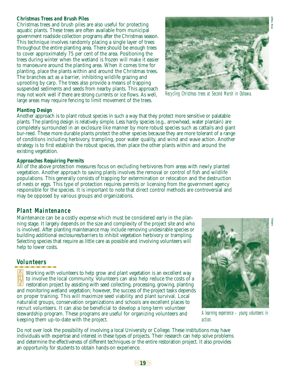#### *Christmas Trees and Brush Piles*

Christmas trees and brush piles are also useful for protecting aquatic plants. These trees are often available from municipal government roadside collection programs after the Christmas season. This technique involves randomly placing a single layer of trees throughout the entire planting area. There should be enough trees to cover approximately 75 per cent of the area. Positioning the trees during winter when the wetland is frozen will make it easier to manoeuvre around the planting area. When it comes time for planting, place the plants within and around the Christmas trees. The branches act as a barrier, inhibiting wildlife grazing and uprooting by carp. The trees also provide a means of trapping suspended sediments and seeds from nearby plants. This approach may not work well if there are strong currents or ice flows. As well, large areas may require fencing to limit movement of the trees.



Recycling Christmas trees at Second Marsh in Oshawa.

#### *Planting Design*

Another approach is to plant robust species in such a way that they protect more sensitive or palatable plants. The planting design is relatively simple. Less hardy species (e.g., arrowhead, water plantain) are completely surrounded in an exclosure like manner by more robust species such as cattails and giant bur-reed. These more durable plants protect the other species because they are more tolerant of a range of conditions including herbivory, trampling, poor water quality, and wind and wave action. Another strategy is to first establish the robust species, then place the other plants within and around the existing vegetation.

#### *Approaches Requiring Permits*

All of the above protection measures focus on excluding herbivores from areas with newly planted vegetation. Another approach to saving plants involves the removal or control of fish and wildlife populations. This generally consists of trapping for extermination or relocation and the destruction of nests or eggs. This type of protection requires permits or licensing from the government agency responsible for the species. It is important to note that direct control methods are controversial and may be opposed by various groups and organizations.

#### **Plant Maintenance**

Maintenance can be a costly expense which must be considered early in the planning stage. It largely depends on the size and complexity of the project site and who is involved. After planting maintenance may include removing undesirable species or building additional exclosures/barriers to inhibit vegetation herbivory or trampling. Selecting species that require as little care as possible and involving volunteers will help to lower costs.

# **Volunteers**

Working with volunteers to help grow and plant vegetation is an excellent way to involve the local community. Volunteers can also help reduce the costs of a restoration project by assisting with seed collecting, processing, growing, planting and monitoring wetland vegetation; however, the success of the project tasks depends on proper training. This will maximize seed viability and plant survival. Local naturalist groups, conservation organizations and schools are excellent places to recruit volunteers. It can also be beneficial to develop a long-term volunteer stewardship program. These programs are useful for organizing volunteers and keeping them up-to-date with the project.



A learning experience – young volunteers in action.

Do not over look the possibility of involving a local University or College. These institutions may have individuals with expertise and interest in these types of projects. Their research can help solve problems and determine the effectiveness of different techniques or the entire restoration project. It also provides an opportunity for students to obtain hands-on experience.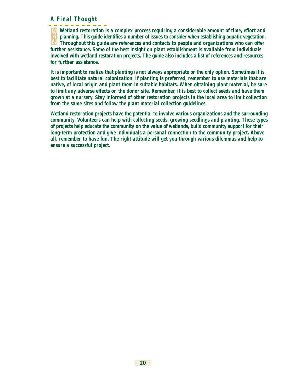## **A Final Thought**

*Wetland restoration is a complex process requiring a considerable amount of time, effort and planning. This guide identifies a number of issues to consider when establishing aquatic vegetation. Throughout this guide are references and contacts to people and organizations who can offer further assistance. Some of the best insight on plant establishment is available from individuals involved with wetland restoration projects. The guide also includes a list of references and resources for further assistance.*

*It is important to realize that planting is not always appropriate or the only option. Sometimes it is best to facilitate natural colonization. If planting is preferred, remember to use materials that are native, of local origin and plant them in suitable habitats. When obtaining plant material, be sure to limit any adverse effects on the donor site. Remember, it is best to collect seeds and have them grown at a nursery. Stay informed of other restoration projects in the local area to limit collection from the same sites and follow the plant material collection guidelines.* 

*Wetland restoration projects have the potential to involve various organizations and the surrounding community. Volunteers can help with collecting seeds, growing seedlings and planting. These types of projects help educate the community on the value of wetlands, build community support for their long-term protection and give individuals a personal connection to the community project. Above all, remember to have fun. The right attitude will get you through various dilemmas and help to ensure a successful project.*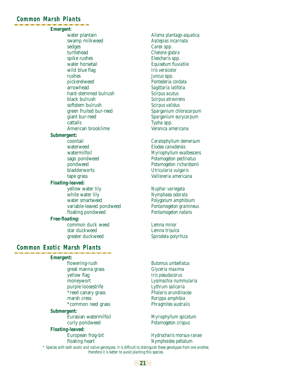#### **Common Marsh Plants**

#### *Emergent*:

water plantain *Alisma plantago-aquatica* swamp milkweed *Asclepias incarnata* sedges *Carex* spp. turtlehead *Chelone glabra* spike rushes *Eleocharis* spp. water horsetail *Equisetum fluviatile* wild blue flag *Iris versicolor* rushes *Juncus* spp. pickerelweed *Pontederia cordata* arrowhead *Sagittaria latifolia* hard-stemmed bulrush *Scirpus acutus* black bulrush *Scirpus atrovirens* softstem bulrush *Scirpus validus* giant bur-reed *Sparganium eurycarpum* cattails *Typha* spp. American brooklime *Veronica americana*

#### *Submergent:*

waterweed *Elodea canadensis*

#### *Floating-leaved:*

yellow water lily *Nuphar variegata* white water lily *Nymphaea odorata* water smartweed *Polygonum amphibium* variable-leaved pondweed *Pontamogeton gramineus* floating pondweed *Pontamogeton natans*

#### *Free-floating:*

common duck weed *Lemna minor* star duckweed *Lemna trisulca*

#### **Common Exotic Marsh Plants**

*Emergent:*

flowering-rush *Butomus umbellatus* great manna grass *Glyceria maxima* yellow flag *Iris pseudacorus* purple loosestrife *Lythrum salicaria* marsh cress *Rorippa amphibia* \*common reed grass *Phragmites australis*

#### *Submergent:*

#### *Floating-leaved:*

green fruited bur-reed *Sparganium chlorocarpum*

coontail *Ceratophyllum demersum* watermilfoil *Myriophyllum exalbescens* sago pondweed *Potamogeton pectinatus* pondweed *Potamogeton richardsonii* bladderworts *Utricularia vulgaris* tape grass *Vallisneria americana*

Spirodela polyrhiza

moneywort *Lysimachia nummularia*  $P$ halaris arundinacea

Eurasian watermilfoil *Myriophyllum spicatum* curly pondweed *Potamogeton crispus*

European frog-bit *Hydrocharis morsus-ranae* floating heart *Nymphoides peltatum*

*\* Species with both exotic and native genotypes. It is difficult to distinguish these genotypes from one another, therefore it is better to avoid planting this species.*

#### **21**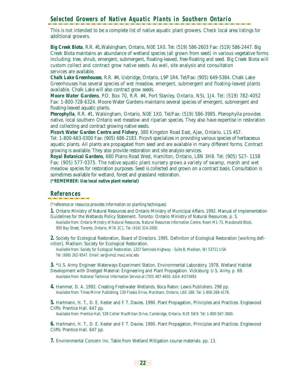# **Selected Growers of Native Aquatic Plants in Southern Ontario**

This is not intended to be a complete list of native aquatic plant growers. Check local area listings for additional growers.

*Big Creek Biota*, R.R. #1,Walsingham, Ontario, N0E 1X0. Tel: (519) 586-2603 Fax: (519) 586-2447. Big Creek Biota maintains an abundance of wetland species (all grown from seed) in various vegetative forms including: tree, shrub, emergent, submergent, floating-leaved, free-floating and seed. Big Creek Biota will custom collect and contract grow native seeds. As well, site analysis and consultation services are available.

*Chalk Lake Greenhouses*, R.R. #4, Uxbridge, Ontario, L9P 1R4. Tel/Fax: (905) 649-5384. Chalk Lake Greenhouses has several species of wet meadow, emergent, submergent and floating-leaved plants available. Chalk Lake will also contract grow seeds.

*Moore Water Gardens*, P.O. Box 70, R.R. #4, Port Stanley, Ontario, N5L 1J4. Tel: (519) 782-4052 Fax: 1-800-728-6324. Moore Water Gardens maintains several species of emergent, submergent and floating-leaved aquatic plants.

*Pterophylla*, R.R. #1, Walsingham, Ontario, N0E 1X0. Tel/Fax: (519) 586-3985. Pterophylla provides native, local southern Ontario wet meadow and riparian species. They also have expertise in restoration and collecting and contract growing native seeds.

*Picov's Water Garden Centre and Fishery*, 380 Kingston Road East, Ajax, Ontario, L1S 4S7.

Tel: 1-800-663-0300 Fax: (905) 686-2183. Picov's specializes in providing various species of herbaceous aquatic plants. All plants are propagated from seed and are available in many different forms. Contract growing is available. They also provide restoration and site analysis services.

*Royal Botanical Gardens*, 680 Plains Road West, Hamilton, Ontario, L8N 3H8. Tel: (905) 527- 1158 Fax: (905) 577-0375. The native aquatic plant nursery grows a variety of swamp, marsh and wet meadow species for restoration purposes. Seed is collected and grown on a contract basis. Consultation is sometimes available for wetland, forest and grassland restoration.

*(\*REMEMBER: Use local native plant material)* 

#### **References**

*(\*reference or resource provides information on planting techniques)*

**1.** Ontario Ministry of Natural Resources and Ontario Ministry of Municipal Affairs. 1992. Manual of Implementation Guidelines for the Wetlands Policy Statement. Toronto: Ontario Ministry of Natural Resources. p. 5.

*Available from: Ontario Ministry of Natural Resources, Natural Resources Information Centre, Room M1-73, Macdonald Block, 900 Bay Street, Toronto, Ontario, M7A 2C1. Tel: (416) 314-2000.*

**2.** Society for Ecological Restoration, Board of Directors. 1995. Definition of Ecological Restoration [working definition]. Madison: Society for Ecological Restoration.

*Available from: Society for Ecological Restoration, 1207 Seminole Highway - Suite B, Madison, WI 53711 USA Tel: (608) 262-9547. Email: ser@vms2.macc.wisc.edu*

**3.** \*U.S. Army Engineer Waterways Experiment Station, Environmental Laboratory. 1978. Wetland Habitat Development with Dredged Material: Engineering and Plant Propagation. Vicksburg: U.S. Army. p. 69. *Available from: National Technical Information Service at (703) 487-4650. ADA # 073493.*

**4.** Hammer, D. A. 1992. Creating Freshwater Wetlands. Boca Raton: Lewis Publishers. 298 pp. *Available from: Times Mirror Publishing, 130 Flaska Drive, Markham, Ontario, L6G 1B8. Tel: 1-800-268-4178.*

**5.** Hartmann, H. T., D. E. Kester and F. T. Davies. 1990. Plant Propagation, Principles and Practices. Englewood Cliffs: Prentice Hall. 647 pp.

*Available from: Prentice Hall, 539 Collier MacMillan Drive, Cambridge, Ontario, N1R 5W9. Tel: 1-800-567-3800.* 

**6.** Hartmann, H. T., D. E. Kester and F. T. Davies. 1990. Plant Propagation, Principles and Practices. Englewood Cliffs: Prentice Hall. 647 pp.

**7.** Environmental Concern Inc. Table from Wetland Mitigation course materials. pp. 13.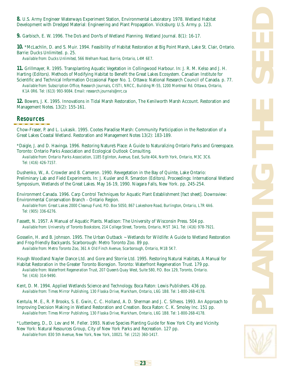**8.** U.S. Army Engineer Waterways Experiment Station, Environmental Laboratory. 1978. Wetland Habitat Development with Dredged Material: Engineering and Plant Propagation. Vicksburg: U.S. Army. p. 123.

**9.** Garbisch, E. W. 1996. The Do's and Don'ts of Wetland Planning. Wetland Journal. 8(1): 16-17.

**10.** \*McLachlin, D. and S. Muir. 1994. Feasibility of Habitat Restoration at Big Point Marsh, Lake St. Clair, Ontario. Barrie: Ducks Unlimited. p. 25.

*Available from: Ducks Unlimited, 566 Welham Road, Barrie, Ontario, L4M 6E7.*

**11.** Grillmayer, R. 1995. Transplanting Aquatic Vegetation in Collingwood Harbour. In: J. R. M. Kelso and J. H. Harting (Editors). Methods of Modifying Habitat to Benefit the Great Lakes Ecosystem. Canadian Institute for Scientific and Technical Information Occasional Paper No. 1. Ottawa: National Research Council of Canada. p. 77. *Available from: Subscription Office, Research Journals, CISTI, NRCC, Building M-55, 1200 Montreal Rd. Ottawa, Ontario,* 

*K1A 0R6. Tel: (613) 993-9084. Email: research.journals@nrc.ca*

**12.** Bowers, J. K. 1995. Innovations in Tidal Marsh Restoration, The Kenilworth Marsh Account. Restoration and Management Notes. 13(2): 155-161.

#### **Resources**

Chow-Fraser, P. and L. Lukasik. 1995. Cootes Paradise Marsh: Community Participation in the Restoration of a Great Lakes Coastal Wetland. Restoration and Management Notes 13(2): 183-189.

\*Daigle, J. and D. Havinga. 1996. Restoring Nature's Place: A Guide to Naturalizing Ontario Parks and Greenspace. Toronto: Ontario Parks Association and Ecological Outlook Consulting.

*Available from: Ontario Parks Association, 1185 Eglinton, Avenue, East, Suite 404, North York, Ontario, M3C 3C6. Tel: (416) 426-7157.* 

Dushenko, W., A. Crowder and B. Cameron. 1990. Revegetation in the Bay of Quinte, Lake Ontario: Preliminary Lab and Field Experiments. In: J. Kusler and R. Smardon (Editors). Proceedings: International Wetland Symposium, Wetlands of the Great Lakes. May 16-19, 1990. Niagara Falls, New York. pp. 245-254.

Environment Canada. 1996. Carp Control Techniques for Aquatic Plant Establishment [fact sheet]. Downsview: Environmental Conservation Branch - Ontario Region.

*Available from: Great Lakes 2000 Cleanup Fund, P.O. Box 5050, 867 Lakeshore Road, Burlington, Ontario, L7R 4A6. Tel: (905) 336-6276.*

Fassett, N. 1957. A Manual of Aquatic Plants. Madison: The University of Wisconsin Press. 504 pp. *Available from: University of Toronto Bookstore, 214 College Street, Toronto, Ontario, M5T 3A1. Tel: (416) 978-7921.* 

Gosselin, H. and B. Johnson. 1995. The Urban Outback ~ Wetlands for Wildlife: A Guide to Wetland Restoration and Frog-friendly Backyards. Scarborough: Metro Toronto Zoo. 89 pp. *Available from: Metro Toronto Zoo, 361 A Old Finch Avenue, Scarborough, Ontario, M1B 5K7.*

Hough Woodland Nayler Dance Ltd. and Gore and Storrie Ltd. 1995. Restoring Natural Habitats, A Manual for Habitat Restoration in the Greater Toronto Bioregion. Toronto: Waterfront Regeneration Trust. 179 pp. *Available from: Waterfront Regeneration Trust, 207 Queen's Quay West, Suite 580, P.O. Box 129, Toronto, Ontario. Tel: (416) 314-9490.* 

Kent, D. M. 1994. Applied Wetlands Science and Technology. Boca Raton: Lewis Publishers. 436 pp. *Available from: Times Mirror Publishing, 130 Flaska Drive, Markham, Ontario, L6G 1B8. Tel: 1-800-268-4178.*

Kentula, M. E., R. P. Brooks, S. E. Gwin, C. C. Holland, A. D. Sherman and J. C. Sifneos. 1993. An Approach to Improving Decision Making in Wetland Restoration and Creation. Boca Raton: C. K. Smoley Inc. 151 pp. *Available from: Times Mirror Publishing, 130 Flaska Drive, Markham, Ontario, L6G 1B8. Tel: 1-800-268-4178.*

\*Luttenberg, D., D. Lev and M. Feller. 1993. Native Species Planting Guide for New York City and Vicinity. New York: Natural Resources Group, City of New York Parks and Recreation. 127 pp. *Available from: 830 5th Avenue, New York, New York, 10021. Tel: (212) 360-1417.*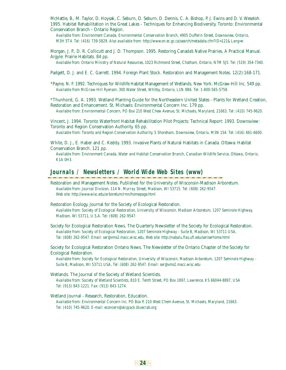McHattie, B., M. Taylor, D. Hoysak, C. Seburn, D. Seburn, D. Dennis, C. A. Bishop, P. J. Ewins and D. V. Weseloh. 1995. Habitat Rehabilitation in the Great Lakes - Techniques for Enhancing Biodiversity. Toronto: Environmental Conservation Branch - Ontario Region.

*Available from: Environment Canada, Environmental Conservation Branch, 4905 Dufferin Street, Downsview, Ontario, M3H 5T4. Tel: (416) 739-5829. Also available from: http://www.on.ec.gc.ca/search/metadata.cfm?ID=121&Lang=e*

Morgan, J. P., D. R. Collicutt and J. D. Thompson. 1995. Restoring Canada's Native Prairies, A Practical Manual. Argyle: Prairie Habitats. 84 pp.

*Available from: Ontario Ministry of Natural Resources, 1023 Richmond Street, Chatham, Ontario, N7M 5J5. Tel: (519) 354-7340.*

Padgett, D. J. and E. C. Garrett. 1994. Foreign Plant Stock. Restoration and Management Notes. 12(2):168-171.

\*Payne, N. F. 1992. Techniques for Wildlife Habitat Management of Wetlands. New York: McGraw-Hill Inc. 549 pp. *Available from McGraw-Hill Ryerson, 300 Water Street, Whitby, Ontario, L1N 9B6. Tel: 1-800-565-5758.*

\*Thunhorst, G. A. 1993. Wetland Planting Guide for the Northeastern United States - Plants for Wetland Creation, Restoration and Enhancement. St. Michaels: Environmental Concern Inc. 179 pp.

*Available from: Environmental Concern, PO Box 210 West Chew Avenue, St. Michaels, Maryland, 21663. Tel: (410) 745-9620.*

Vincent, J. 1994. Toronto Waterfront Habitat Rehabilitation Pilot Projects: Technical Report: 1993. Downsview: Toronto and Region Conservation Authority. 65 pp.

*Available from: Toronto and Region Conservation Authority, 5 Shoreham, Downsview, Ontario, M3N 1S4. Tel: (416) 661-6600.*

White, D. J., E. Haber and C. Keddy. 1993. Invasive Plants of Natural Habitats in Canada. Ottawa: Habitat Conservation Branch. 121 pp.

*Available from: Environment Canada, Water and Habitat Conservation Branch, Canadian Wildlife Service, Ottawa, Ontario, K1A 0H3.*

#### **Journals / Newsletters / World Wide Web Sites (www)**

Restoration and Management Notes. Published for the University of Wisconsin-Madison Arboretum. *Available from: Journal Division, 114 N. Murray Street, Madison, WI 53715. Tel: (608) 262-9547. Web site: http://www.wisc.edu/arboretum/rmn/homepage.html*

Restoration Ecology. Journal for the Society of Ecological Restoration. *Available from: Society of Ecological Restoration, University of Wisconsin, Madison Arboretum, 1207 Seminole Highway, Madison, WI 53711, U.S.A. Tel: (608) 262-9547.*

Society for Ecological Restoration News. The Quarterly Newsletter of the Society for Ecological Restoration. *Available from: Society of Ecological Restoration, 1207 Seminole Highway - Suite B, Madison, WI 53711 USA, Tel: (608) 262-9547. Email: ser@vms2.macc.wisc.edu, Web site: http://nabalu.flas.ufl.edu/ser/serhome.html*

Society for Ecological Restoration Ontario News. The Newsletter of the Ontario Chapter of the Society for Ecological Restoration.

*Available from: Society for Ecological Restoration, University of Wisconsin, Madison Arboretum, 1207 Seminole Highway - Suite B, Madison, WI 53711 USA, Tel: (608) 262-9547. Email: ser@vms2.macc.wisc.edu*

Wetlands. The Journal of the Society of Wetland Scientists. *Available from: Society of Wetland Scientists, 810 E. Tenth Street, PO Box 1897, Lawrence, KS 66044-8897, USA* 

*Tel: (913) 843-1221. Fax: (913) 843-1274.*

Wetland Journal - Research, Restoration, Education. *Available from: Environmental Concern Inc. PO Box P, 210 West Chem Avenue, St. Michaels, Maryland, 21663. Tel: (410) 745-9620. E-mail: econcern@skipjack.bluecrab.org*